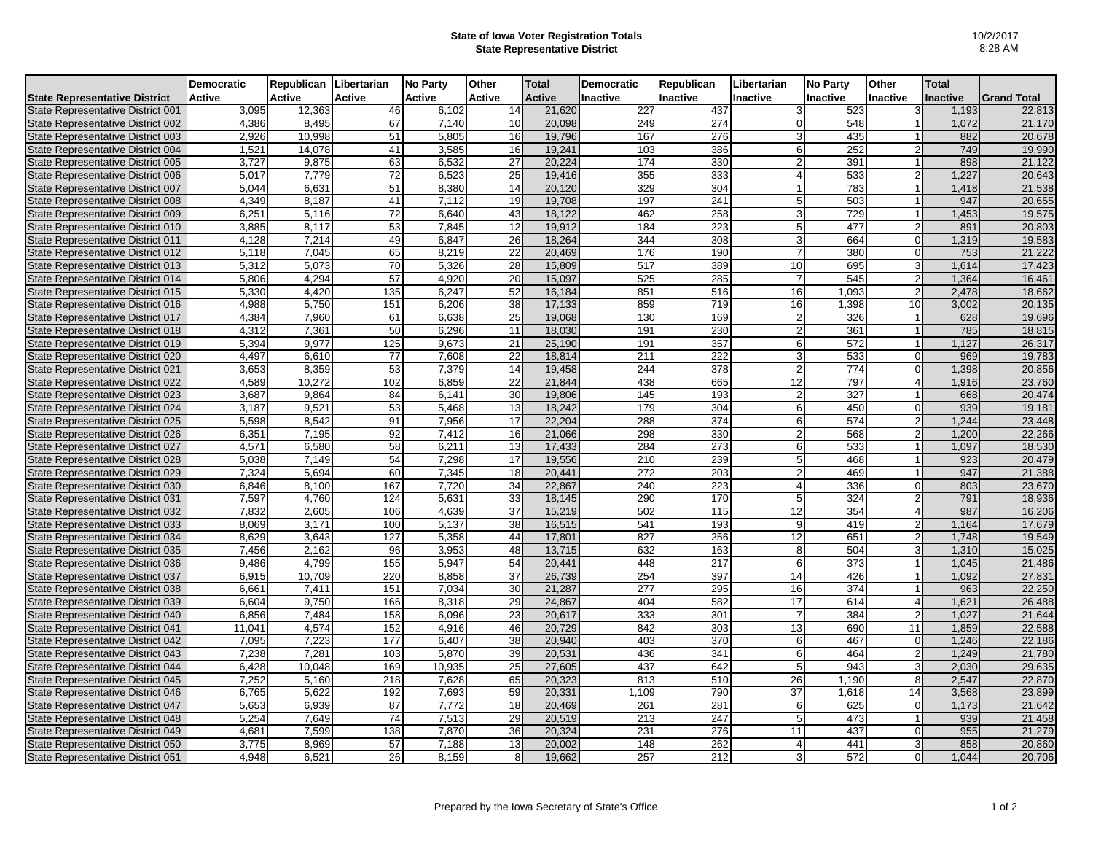## **State of Iowa Voter Registration Totals State Representative District**

|                                      | <b>Democratic</b> | Republican Libertarian |                 | <b>No Party</b> | Other  | <b>Total</b>  | <b>Democratic</b> | Republican       | Libertarian    | <b>No Party</b>  | Other          | <b>Total</b> |                    |
|--------------------------------------|-------------------|------------------------|-----------------|-----------------|--------|---------------|-------------------|------------------|----------------|------------------|----------------|--------------|--------------------|
| <b>State Representative District</b> | Active            | Active                 | <b>Active</b>   | <b>Active</b>   | Active | <b>Active</b> | Inactive          | Inactive         | Inactive       | Inactive         | Inactive       | Inactive     | <b>Grand Total</b> |
| State Representative District 001    | 3,095             | 12,363                 | 46              | 6,102           | 14     | 21,620        | 227               | 437              | 3              | 523              | 3              | 1,193        | 22,813             |
| State Representative District 002    | 4,386             | 8,495                  | 67              | 7,140           | 10     | 20,098        | 249               | 274              | $\Omega$       | 548              |                | 1,072        | 21,170             |
| State Representative District 003    | 2,926             | 10,998                 | 51              | 5,805           | 16     | 19,796        | 167               | 276              | 3              | 435              |                | 882          | 20,678             |
| State Representative District 004    | 1,521             | 14,078                 | 41              | 3,585           | 16     | 19,241        | 103               | 386              | 6              | 252              |                | 749          | 19,990             |
| State Representative District 005    | 3,727             | 9,875                  | 63              | 6,532           | 27     | 20,224        | 174               | 330              | $\overline{2}$ | 391              |                | 898          | 21,122             |
| State Representative District 006    | 5,017             | 7,779                  | 72              | 6,523           | 25     | 19,416        | 355               | 333              |                | 533              | $\mathcal{P}$  | 1,227        | 20,643             |
| State Representative District 007    | 5,044             | 6,631                  | 51              | 8,380           | 14     | 20,120        | 329               | 304              | 1              | 783              |                | 1,418        | 21,538             |
| State Representative District 008    | 4,349             | 8,187                  | 41              | 7,112           | 19     | 19,708        | 197               | 241              | 5              | 503              |                | 947          | 20,655             |
| State Representative District 009    | 6,251             | 5,116                  | 72              | 6,640           | 43     | 18,122        | 462               | 258              | 3              | 729              |                | 1,453        | 19,575             |
| State Representative District 010    | 3,885             | 8,117                  | 53              | 7,845           | 12     | 19,912        | 184               | 223              | 5              | 477              | $\mathcal{P}$  | 891          | 20,803             |
| State Representative District 011    | 4,128             | 7,214                  | 49              | 6,847           | 26     | 18,264        | 344               | 308              | 3              | 664              | $\Omega$       | 1,319        | 19,583             |
| State Representative District 012    | 5,118             | 7,045                  | 65              | 8,219           | 22     | 20,469        | 176               | 190              |                | 380              | $\Omega$       | 753          | 21,222             |
| State Representative District 013    | 5,312             | 5,073                  | $\overline{70}$ | 5,326           | 28     | 15,809        | 517               | 389              | 10             | 695              | 3              | 1,614        | 17,423             |
| State Representative District 014    | 5,806             | 4,294                  | 57              | 4,920           | 20     | 15,097        | 525               | 285              |                | 545              |                | 1,364        | 16,461             |
| State Representative District 015    | 5,330             | 4,420                  | 135             | 6,247           | 52     | 16,184        | 851               | 516              | 16             | 1,093            | $\overline{2}$ | 2,478        | 18,662             |
| State Representative District 016    | 4,988             | 5,750                  | 151             | 6,206           | 38     | 17,133        | 859               | 719              | 16             | 1,398            | 10             | 3,002        | 20,135             |
| State Representative District 017    | 4,384             | 7,960                  | 61              | 6.638           | 25     | 19,068        | 130               | 169              | 2              | 326              |                | 628          | 19,696             |
| State Representative District 018    | 4,312             | 7,361                  | 50              | 6,296           | 11     | 18,030        | 191               | 230              | $\overline{2}$ | 361              |                | 785          | 18,815             |
| State Representative District 019    | 5,394             | 9,977                  | 125             | 9,673           | 21     | 25,190        | 191               | 357              | 6              | $\overline{572}$ |                | 1,127        | 26,317             |
| State Representative District 020    | 4,497             | 6,610                  | 77              | 7,608           | 22     | 18,814        | 211               | 222              | 3              | 533              |                | 969          | 19,783             |
| State Representative District 021    | 3,653             | 8,359                  | 53              | 7,379           | 14     | 19,458        | 244               | $\overline{378}$ | 2              | 774              | $\Omega$       | 1,398        | 20,856             |
| State Representative District 022    | 4,589             | 10,272                 | 102             | 6,859           | 22     | 21,844        | 438               | 665              | 12             | 797              | $\overline{4}$ | 1,916        | 23,760             |
| State Representative District 023    | 3,687             | 9,864                  | 84              | 6,141           | 30     | 19,806        | $\overline{145}$  | 193              | $\overline{2}$ | 327              |                | 668          | 20,474             |
| State Representative District 024    | 3,187             | 9,521                  | 53              | 5,468           | 13     | 18,242        | 179               | 304              | 6              | 450              | $\Omega$       | 939          | 19,181             |
| State Representative District 025    | 5,598             | 8.542                  | 91              | 7,956           | 17     | 22,204        | 288               | 374              | 6              | 574              | $\overline{2}$ | 1.244        | 23,448             |
| State Representative District 026    | 6,351             | 7,195                  | 92              | 7,412           | 16     | 21,066        | 298               | 330              | $\overline{2}$ | 568              | $\overline{2}$ | 1,200        | 22,266             |
| State Representative District 027    | 4,571             | 6,580                  | 58              | 6,211           | 13     | 17,433        | 284               | 273              | 6              | 533              |                | 1,097        | 18,530             |
| State Representative District 028    | 5,038             | 7,149                  | 54              | 7,298           | 17     | 19,556        | 210               | 239              | 5              | 468              |                | 923          | 20,479             |
| State Representative District 029    | 7,324             | 5,694                  | 60              | 7,345           | 18     | 20,441        | 272               | 203              |                | 469              |                | 947          | 21,388             |
| State Representative District 030    | 6,846             | 8,100                  | 167             | 7,720           | 34     | 22,867        | 240               | 223              |                | 336              |                | 803          | 23,670             |
| State Representative District 031    | 7,597             | 4.760                  | 124             | 5,631           | 33     | 18,145        | 290               | 170              | 5              | 324              | $\mathcal{P}$  | 791          | 18,936             |
| State Representative District 032    | 7,832             | 2,605                  | 106             | 4,639           | 37     | 15,219        | 502               | 115              | 12             | 354              | $\overline{4}$ | 987          | 16,206             |
| State Representative District 033    | 8.069             | 3,171                  | 100             | 5.137           | 38     | 16,515        | 541               | 193              | 9              | 419              | $\overline{2}$ | 1,164        | 17,679             |
| State Representative District 034    | 8,629             | 3,643                  | 127             | 5,358           | 44     | 17,801        | 827               | 256              | 12             | 651              |                | 1,748        | 19,549             |
| State Representative District 035    | 7,456             | 2,162                  | 96              | 3,953           | 48     | 13,715        | 632               | 163              | 8              | 504              |                | 1,310        | 15,025             |
| State Representative District 036    | 9,486             | 4,799                  | 155             | 5,947           | 54     | 20,441        | 448               | 217              | 6              | 373              |                | 1,045        | 21,486             |
| State Representative District 037    | 6,915             | 10,709                 | 220             | 8,858           | 37     | 26,739        | 254               | 397              | 14             | 426              |                | 1,092        | 27,831             |
| State Representative District 038    | 6,661             | 7,411                  | 151             | 7,034           | 30     | 21,287        | 277               | 295              | 16             | 374              |                | 963          | 22,250             |
| State Representative District 039    | 6,604             | 9,750                  | 166             | 8,318           | 29     | 24,867        | 404               | 582              | 17             | 614              | $\Delta$       | 1,621        | 26,488             |
| State Representative District 040    | 6,856             | 7,484                  | 158             | 6,096           | 23     | 20,617        | 333               | 301              | $\overline{7}$ | 384              |                | 1,027        | 21,644             |
| State Representative District 041    | 11,041            | 4,574                  | 152             | 4,916           | 46     | 20,729        | 842               | 303              | 13             | 690              | 11             | 1,859        | 22,588             |
| State Representative District 042    | 7,095             | 7,223                  | 177             | 6,407           | 38     | 20,940        | 403               | $\overline{370}$ | 6              | 467              | $\Omega$       | 1,246        | 22,186             |
| State Representative District 043    | 7,238             | 7,281                  | 103             | 5,870           | 39     | 20,531        | 436               | 341              | 6              | 464              | $\overline{2}$ | 1,249        | 21,780             |
| State Representative District 044    | 6,428             | 10,048                 | 169             | 10,935          | 25     | 27,605        | 437               | 642              | 5              | 943              |                | 2,030        | 29,635             |
| State Representative District 045    | 7,252             | 5,160                  | 218             | 7,628           | 65     | 20,323        | 813               | 510              | 26             | 1,190            | 8              | 2,547        | 22,870             |
| State Representative District 046    | 6,765             | 5,622                  | 192             | 7,693           | 59     | 20,331        | 1,109             | 790              | 37             | 1,618            | 14             | 3,568        | 23,899             |
| State Representative District 047    | 5,653             | 6,939                  | 87              | 7,772           | 18     | 20,469        | 261               | 281              | 6              | 625              | $\Omega$       | 1,173        | 21,642             |
| State Representative District 048    | 5,254             | 7,649                  | 74              | 7,513           | 29     | 20,519        | 213               | 247              | 5              | 473              |                | 939          | 21,458             |
| State Representative District 049    | 4,681             | 7,599                  | 138             | 7,870           | 36     | 20,324        | 231               | 276              | 11             | 437              | $\Omega$       | 955          | 21,279             |
| State Representative District 050    | 3,775             | 8,969                  | 57              | 7,188           | 13     | 20,002        | 148               | 262              | $\overline{4}$ | 441              |                | 858          | 20,860             |
| State Representative District 051    | 4,948             | 6,521                  | 26              | 8,159           | 8      | 19,662        | 257               | 212              |                | 572              |                | 1,044        | 20,706             |
|                                      |                   |                        |                 |                 |        |               |                   |                  |                |                  |                |              |                    |